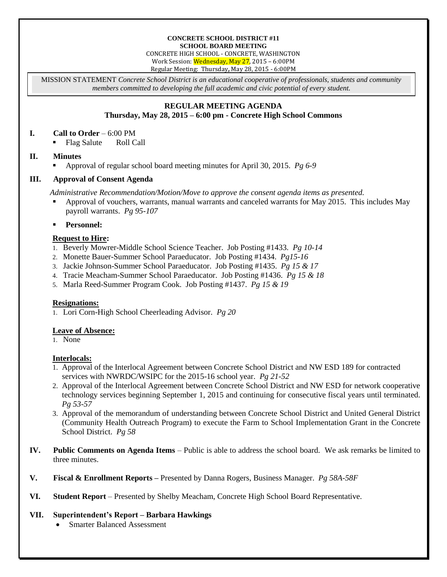#### **CONCRETE SCHOOL DISTRICT #11 SCHOOL BOARD MEETING**

CONCRETE HIGH SCHOOL - CONCRETE, WASHINGTON

Work Session: Wednesday, May 27, 2015 – 6:00PM

Regular Meeting: Thursday**,** May 28, 2015 - 6:00PM

MISSION STATEMENT *Concrete School District is an educational cooperative of professionals, students and community members committed to developing the full academic and civic potential of every student.*

# **REGULAR MEETING AGENDA**

# **Thursday, May 28, 2015 – 6:00 pm - Concrete High School Commons**

#### **I. Call to Order** – 6:00 PM

• Flag Salute Roll Call

### **II. Minutes**

Approval of regular school board meeting minutes for April 30, 2015. *Pg 6-9*

### **III. Approval of Consent Agenda**

*Administrative Recommendation/Motion/Move to approve the consent agenda items as presented.*

- Approval of vouchers, warrants, manual warrants and canceled warrants for May 2015. This includes May payroll warrants. *Pg 95-107*
- **Personnel:**

### **Request to Hire:**

- 1. Beverly Mowrer-Middle School Science Teacher. Job Posting #1433. *Pg 10-14*
- 2. Monette Bauer-Summer School Paraeducator. Job Posting #1434. *Pg15-16*
- 3. Jackie Johnson-Summer School Paraeducator. Job Posting #1435. *Pg 15 & 17*
- 4. Tracie Meacham-Summer School Paraeducator. Job Posting #1436. *Pg 15 & 18*
- 5. Marla Reed-Summer Program Cook. Job Posting #1437. *Pg 15 & 19*

### **Resignations:**

1. Lori Corn-High School Cheerleading Advisor. *Pg 20*

### **Leave of Absence:**

1. None

### **Interlocals:**

- 1. Approval of the Interlocal Agreement between Concrete School District and NW ESD 189 for contracted services with NWRDC/WSIPC for the 2015-16 school year. *Pg 21-52*
- 2. Approval of the Interlocal Agreement between Concrete School District and NW ESD for network cooperative technology services beginning September 1, 2015 and continuing for consecutive fiscal years until terminated. *Pg 53-57*
- 3. Approval of the memorandum of understanding between Concrete School District and United General District (Community Health Outreach Program) to execute the Farm to School Implementation Grant in the Concrete School District. *Pg 58*
- **IV. Public Comments on Agenda Items** Public is able to address the school board. We ask remarks be limited to three minutes.
- **V. Fiscal & Enrollment Reports –** Presented by Danna Rogers, Business Manager. *Pg 58A-58F*
- **VI. Student Report** Presented by Shelby Meacham, Concrete High School Board Representative.

### **VII. Superintendent's Report – Barbara Hawkings**

Smarter Balanced Assessment